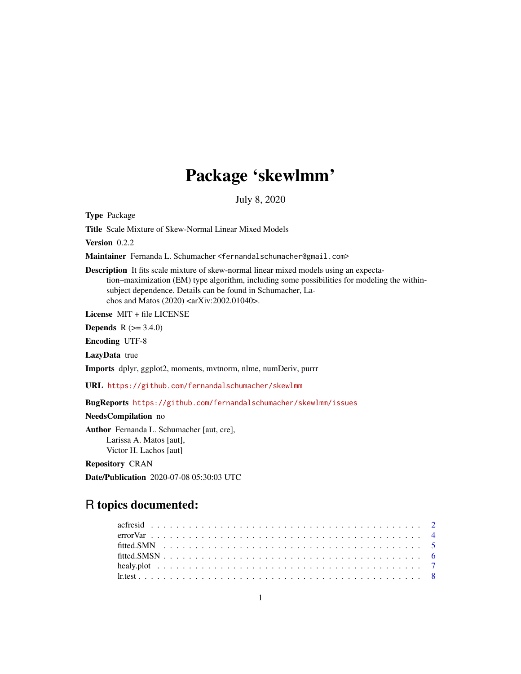# Package 'skewlmm'

July 8, 2020

<span id="page-0-0"></span>Type Package

Title Scale Mixture of Skew-Normal Linear Mixed Models

Version 0.2.2

Maintainer Fernanda L. Schumacher <fernandalschumacher@gmail.com>

Description It fits scale mixture of skew-normal linear mixed models using an expectation–maximization (EM) type algorithm, including some possibilities for modeling the withinsubject dependence. Details can be found in Schumacher, Lachos and Matos (2020) <arXiv:2002.01040>.

License MIT + file LICENSE

**Depends** R  $(>= 3.4.0)$ 

Encoding UTF-8

LazyData true

Imports dplyr, ggplot2, moments, mvtnorm, nlme, numDeriv, purrr

URL <https://github.com/fernandalschumacher/skewlmm>

BugReports <https://github.com/fernandalschumacher/skewlmm/issues>

NeedsCompilation no

Author Fernanda L. Schumacher [aut, cre], Larissa A. Matos [aut], Victor H. Lachos [aut]

Repository CRAN

Date/Publication 2020-07-08 05:30:03 UTC

# R topics documented: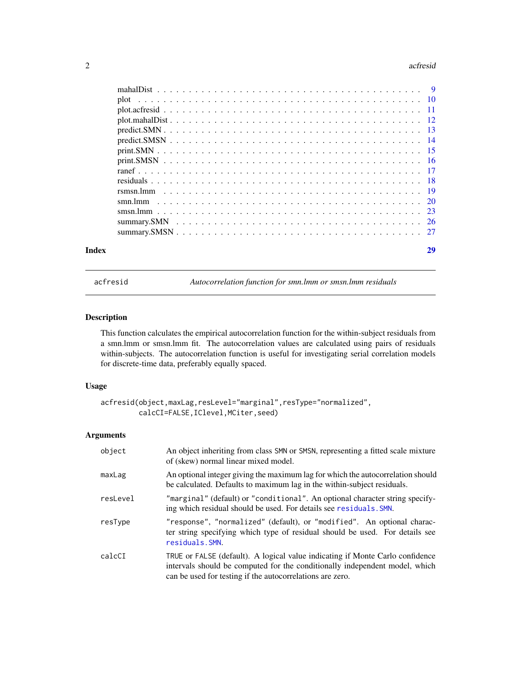#### <span id="page-1-0"></span>2 actresident and the contract of the contract of the contract of the contract of the contract of the contract of the contract of the contract of the contract of the contract of the contract of the contract of the contract

| Index | 29 |
|-------|----|
|       |    |
|       |    |
|       |    |
|       |    |
|       |    |
|       |    |
|       |    |
|       |    |
|       |    |
|       |    |
|       |    |
|       |    |
|       |    |
|       |    |
|       |    |

<span id="page-1-1"></span>acfresid *Autocorrelation function for smn.lmm or smsn.lmm residuals*

# Description

This function calculates the empirical autocorrelation function for the within-subject residuals from a smn.lmm or smsn.lmm fit. The autocorrelation values are calculated using pairs of residuals within-subjects. The autocorrelation function is useful for investigating serial correlation models for discrete-time data, preferably equally spaced.

# Usage

```
acfresid(object,maxLag,resLevel="marginal",resType="normalized",
         calcCI=FALSE,IClevel,MCiter,seed)
```
# Arguments

| object   | An object inheriting from class SMN or SMSN, representing a fitted scale mixture<br>of (skew) normal linear mixed model.                                                                                                  |
|----------|---------------------------------------------------------------------------------------------------------------------------------------------------------------------------------------------------------------------------|
| maxLag   | An optional integer giving the maximum lag for which the autocorrelation should<br>be calculated. Defaults to maximum lag in the within-subject residuals.                                                                |
| resLevel | "marginal" (default) or "conditional". An optional character string specify-<br>ing which residual should be used. For details see residuals. SMN.                                                                        |
| resType  | "response", "normalized" (default), or "modified". An optional charac-<br>ter string specifying which type of residual should be used. For details see<br>residuals. SMN.                                                 |
| calcCI   | TRUE or FALSE (default). A logical value indicating if Monte Carlo confidence<br>intervals should be computed for the conditionally independent model, which<br>can be used for testing if the autocorrelations are zero. |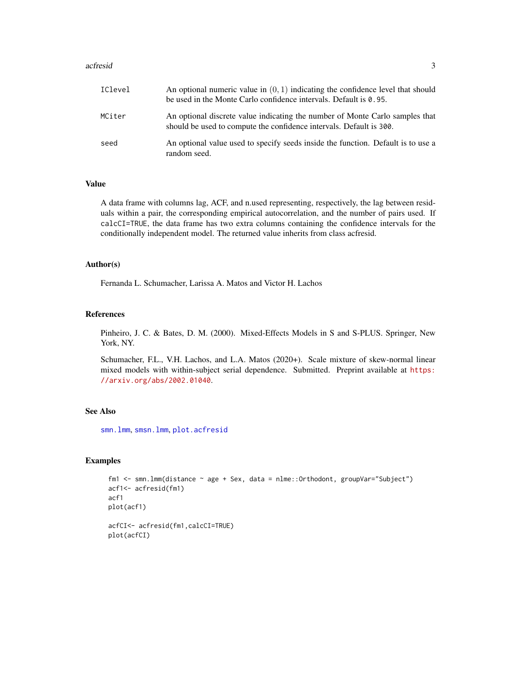#### <span id="page-2-0"></span>acfresid 3

| IClevel | An optional numeric value in $(0, 1)$ indicating the confidence level that should<br>be used in the Monte Carlo confidence intervals. Default is 0.95. |
|---------|--------------------------------------------------------------------------------------------------------------------------------------------------------|
| MCiter  | An optional discrete value indicating the number of Monte Carlo samples that<br>should be used to compute the confidence intervals. Default is 300.    |
| seed    | An optional value used to specify seeds inside the function. Default is to use a<br>random seed.                                                       |

# Value

A data frame with columns lag, ACF, and n.used representing, respectively, the lag between residuals within a pair, the corresponding empirical autocorrelation, and the number of pairs used. If calcCI=TRUE, the data frame has two extra columns containing the confidence intervals for the conditionally independent model. The returned value inherits from class acfresid.

# Author(s)

Fernanda L. Schumacher, Larissa A. Matos and Victor H. Lachos

# References

Pinheiro, J. C. & Bates, D. M. (2000). Mixed-Effects Models in S and S-PLUS. Springer, New York, NY.

Schumacher, F.L., V.H. Lachos, and L.A. Matos (2020+). Scale mixture of skew-normal linear mixed models with within-subject serial dependence. Submitted. Preprint available at [https:](https://arxiv.org/abs/2002.01040) [//arxiv.org/abs/2002.01040](https://arxiv.org/abs/2002.01040).

# See Also

[smn.lmm](#page-19-1), [smsn.lmm](#page-22-1), [plot.acfresid](#page-10-1)

#### Examples

```
fm1 <- smn.lmm(distance ~ age + Sex, data = nlme::Orthodont, groupVar="Subject")
acf1<- acfresid(fm1)
acf1
plot(acf1)
acfCI<- acfresid(fm1,calcCI=TRUE)
plot(acfCI)
```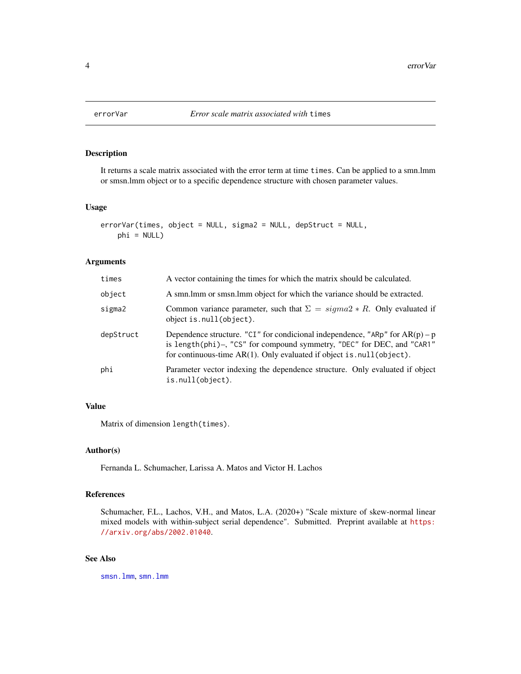<span id="page-3-1"></span><span id="page-3-0"></span>

It returns a scale matrix associated with the error term at time times. Can be applied to a smn.lmm or smsn.lmm object or to a specific dependence structure with chosen parameter values.

# Usage

```
errorVar(times, object = NULL, sigma2 = NULL, depStruct = NULL,
    phi = NULL)
```
# Arguments

| times     | A vector containing the times for which the matrix should be calculated.                                                                                                                                                               |
|-----------|----------------------------------------------------------------------------------------------------------------------------------------------------------------------------------------------------------------------------------------|
| object    | A smn. Imm or smsn. Imm object for which the variance should be extracted.                                                                                                                                                             |
| sigma2    | Common variance parameter, such that $\Sigma = sigma2 * R$ . Only evaluated if<br>object is.null(object).                                                                                                                              |
| depStruct | Dependence structure. "CI" for condicional independence, "ARp" for $AR(p) - p$<br>is length(phi)-, "CS" for compound symmetry, "DEC" for DEC, and "CAR1"<br>for continuous-time $AR(1)$ . Only evaluated if object is . null (object). |
| phi       | Parameter vector indexing the dependence structure. Only evaluated if object<br>is.null(object).                                                                                                                                       |

# Value

Matrix of dimension length(times).

# Author(s)

Fernanda L. Schumacher, Larissa A. Matos and Victor H. Lachos

#### References

Schumacher, F.L., Lachos, V.H., and Matos, L.A. (2020+) "Scale mixture of skew-normal linear mixed models with within-subject serial dependence". Submitted. Preprint available at [https:](https://arxiv.org/abs/2002.01040) [//arxiv.org/abs/2002.01040](https://arxiv.org/abs/2002.01040).

# See Also

[smsn.lmm](#page-22-1), [smn.lmm](#page-19-1)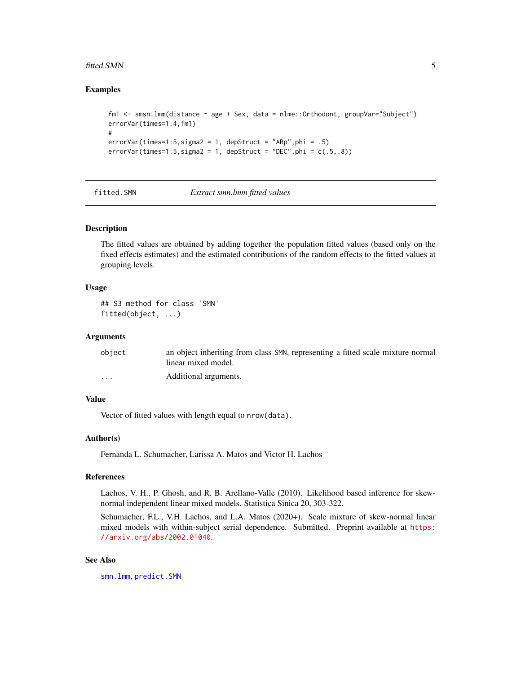#### <span id="page-4-0"></span>fitted.SMN 5

# Examples

```
fm1 <- smsn.lmm(distance ~ age + Sex, data = nlme::Orthodont, groupVar="Subject")
errorVar(times=1:4,fm1)
#
errorVar(times=1:5, sigma2 = 1, depStruct = "ARP",phi = .5)errorVar(times=1:5,sigma2 = 1, depStruct = "DEC", phi = c(.5,.8))
```
<span id="page-4-1"></span>

fitted.SMN *Extract smn.lmm fitted values*

# Description

The fitted values are obtained by adding together the population fitted values (based only on the fixed effects estimates) and the estimated contributions of the random effects to the fitted values at grouping levels.

# Usage

```
## S3 method for class 'SMN'
fitted(object, ...)
```
# Arguments

| object               | an object inheriting from class SMN, representing a fitted scale mixture normal |
|----------------------|---------------------------------------------------------------------------------|
|                      | linear mixed model.                                                             |
| $\ddot{\phantom{0}}$ | Additional arguments.                                                           |

# Value

Vector of fitted values with length equal to nrow(data).

# Author(s)

Fernanda L. Schumacher, Larissa A. Matos and Victor H. Lachos

# References

Lachos, V. H., P. Ghosh, and R. B. Arellano-Valle (2010). Likelihood based inference for skewnormal independent linear mixed models. Statistica Sinica 20, 303-322.

Schumacher, F.L., V.H. Lachos, and L.A. Matos (2020+). Scale mixture of skew-normal linear mixed models with within-subject serial dependence. Submitted. Preprint available at [https:](https://arxiv.org/abs/2002.01040) [//arxiv.org/abs/2002.01040](https://arxiv.org/abs/2002.01040).

# See Also

[smn.lmm](#page-19-1), [predict.SMN](#page-12-1)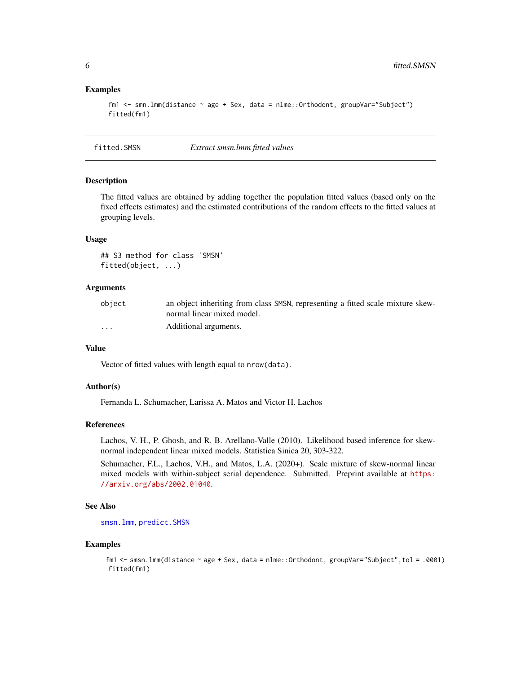# Examples

```
fm1 <- smn.lmm(distance ~ age + Sex, data = nlme::Orthodont, groupVar="Subject")
fitted(fm1)
```
<span id="page-5-1"></span>fitted.SMSN *Extract smsn.lmm fitted values*

#### Description

The fitted values are obtained by adding together the population fitted values (based only on the fixed effects estimates) and the estimated contributions of the random effects to the fitted values at grouping levels.

# Usage

## S3 method for class 'SMSN' fitted(object, ...)

# Arguments

| obiect | an object inheriting from class SMSN, representing a fitted scale mixture skew- |
|--------|---------------------------------------------------------------------------------|
|        | normal linear mixed model.                                                      |
| .      | Additional arguments.                                                           |

#### Value

Vector of fitted values with length equal to nrow(data).

#### Author(s)

Fernanda L. Schumacher, Larissa A. Matos and Victor H. Lachos

#### References

Lachos, V. H., P. Ghosh, and R. B. Arellano-Valle (2010). Likelihood based inference for skewnormal independent linear mixed models. Statistica Sinica 20, 303-322.

Schumacher, F.L., Lachos, V.H., and Matos, L.A. (2020+). Scale mixture of skew-normal linear mixed models with within-subject serial dependence. Submitted. Preprint available at [https:](https://arxiv.org/abs/2002.01040) [//arxiv.org/abs/2002.01040](https://arxiv.org/abs/2002.01040).

# See Also

[smsn.lmm](#page-22-1), [predict.SMSN](#page-13-1)

# Examples

fm1 <- smsn.lmm(distance ~ age + Sex, data = nlme::Orthodont, groupVar="Subject",tol = .0001) fitted(fm1)

<span id="page-5-0"></span>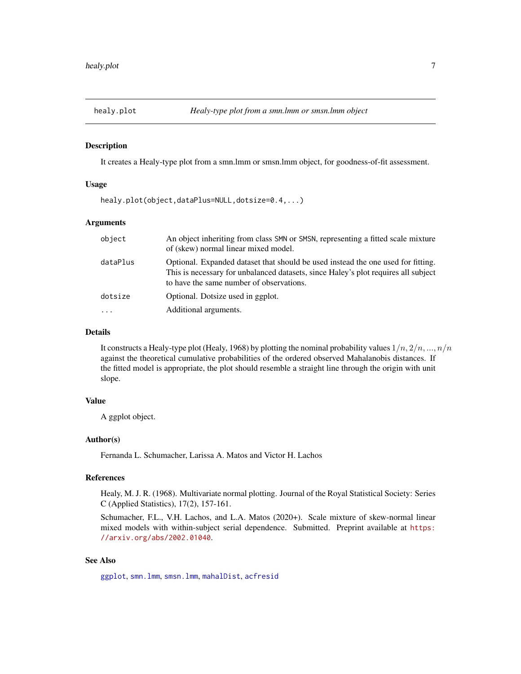<span id="page-6-1"></span><span id="page-6-0"></span>

It creates a Healy-type plot from a smn.lmm or smsn.lmm object, for goodness-of-fit assessment.

# Usage

healy.plot(object,dataPlus=NULL,dotsize=0.4,...)

# Arguments

| object   | An object inheriting from class SMN or SMSN, representing a fitted scale mixture<br>of (skew) normal linear mixed model.                                                                                           |
|----------|--------------------------------------------------------------------------------------------------------------------------------------------------------------------------------------------------------------------|
| dataPlus | Optional. Expanded dataset that should be used instead the one used for fitting.<br>This is necessary for unbalanced datasets, since Haley's plot requires all subject<br>to have the same number of observations. |
| dotsize  | Optional. Dotsize used in ggplot.                                                                                                                                                                                  |
| $\ddots$ | Additional arguments.                                                                                                                                                                                              |

# Details

It constructs a Healy-type plot (Healy, 1968) by plotting the nominal probability values  $1/n$ ,  $2/n$ , ...,  $n/n$ against the theoretical cumulative probabilities of the ordered observed Mahalanobis distances. If the fitted model is appropriate, the plot should resemble a straight line through the origin with unit slope.

# Value

A ggplot object.

# Author(s)

Fernanda L. Schumacher, Larissa A. Matos and Victor H. Lachos

# References

Healy, M. J. R. (1968). Multivariate normal plotting. Journal of the Royal Statistical Society: Series C (Applied Statistics), 17(2), 157-161.

Schumacher, F.L., V.H. Lachos, and L.A. Matos (2020+). Scale mixture of skew-normal linear mixed models with within-subject serial dependence. Submitted. Preprint available at [https:](https://arxiv.org/abs/2002.01040) [//arxiv.org/abs/2002.01040](https://arxiv.org/abs/2002.01040).

# See Also

[ggplot](#page-0-0), [smn.lmm](#page-19-1), [smsn.lmm](#page-22-1), [mahalDist](#page-8-1), [acfresid](#page-1-1)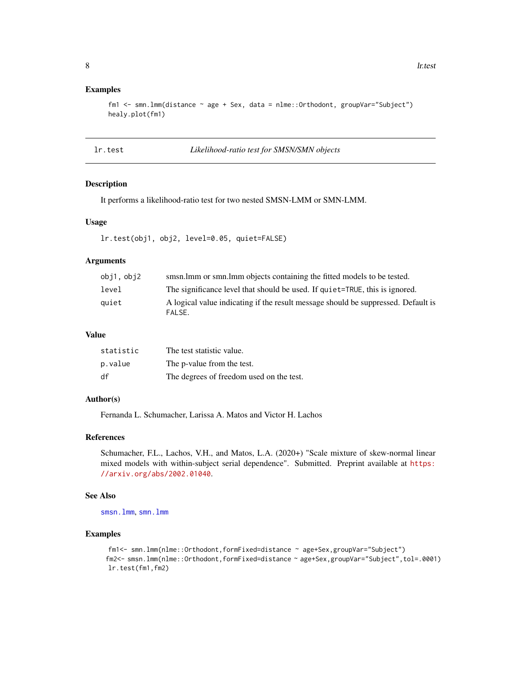# <span id="page-7-0"></span>Examples

```
fm1 <- smn.lmm(distance ~ age + Sex, data = nlme::Orthodont, groupVar="Subject")
healy.plot(fm1)
```
# lr.test *Likelihood-ratio test for SMSN/SMN objects*

#### Description

It performs a likelihood-ratio test for two nested SMSN-LMM or SMN-LMM.

# Usage

lr.test(obj1, obj2, level=0.05, quiet=FALSE)

# Arguments

| obj1,obj2 | smsn.lmm or smn.lmm objects containing the fitted models to be tested.                      |
|-----------|---------------------------------------------------------------------------------------------|
| level     | The significance level that should be used. If quiet=TRUE, this is ignored.                 |
| auiet     | A logical value indicating if the result message should be suppressed. Default is<br>FALSE. |

#### Value

| statistic | The test statistic value.                |
|-----------|------------------------------------------|
| p.value   | The p-value from the test.               |
| df        | The degrees of freedom used on the test. |

# Author(s)

Fernanda L. Schumacher, Larissa A. Matos and Victor H. Lachos

#### References

Schumacher, F.L., Lachos, V.H., and Matos, L.A. (2020+) "Scale mixture of skew-normal linear mixed models with within-subject serial dependence". Submitted. Preprint available at [https:](https://arxiv.org/abs/2002.01040) [//arxiv.org/abs/2002.01040](https://arxiv.org/abs/2002.01040).

# See Also

[smsn.lmm](#page-22-1), [smn.lmm](#page-19-1)

# Examples

```
fm1<- smn.lmm(nlme::Orthodont,formFixed=distance ~ age+Sex,groupVar="Subject")
fm2<- smsn.lmm(nlme::Orthodont,formFixed=distance ~ age+Sex,groupVar="Subject",tol=.0001)
lr.test(fm1,fm2)
```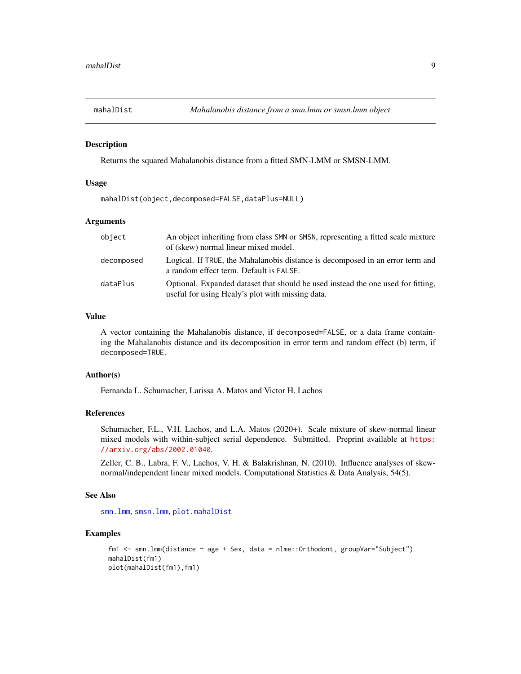<span id="page-8-1"></span><span id="page-8-0"></span>

Returns the squared Mahalanobis distance from a fitted SMN-LMM or SMSN-LMM.

### Usage

mahalDist(object,decomposed=FALSE,dataPlus=NULL)

# Arguments

| object     | An object inheriting from class SMN or SMSN, representing a fitted scale mixture<br>of (skew) normal linear mixed model.             |
|------------|--------------------------------------------------------------------------------------------------------------------------------------|
| decomposed | Logical. If TRUE, the Mahalanobis distance is decomposed in an error term and<br>a random effect term. Default is FALSE.             |
| dataPlus   | Optional. Expanded dataset that should be used instead the one used for fitting,<br>useful for using Healy's plot with missing data. |

#### Value

A vector containing the Mahalanobis distance, if decomposed=FALSE, or a data frame containing the Mahalanobis distance and its decomposition in error term and random effect (b) term, if decomposed=TRUE.

# Author(s)

Fernanda L. Schumacher, Larissa A. Matos and Victor H. Lachos

#### References

Schumacher, F.L., V.H. Lachos, and L.A. Matos (2020+). Scale mixture of skew-normal linear mixed models with within-subject serial dependence. Submitted. Preprint available at [https:](https://arxiv.org/abs/2002.01040) [//arxiv.org/abs/2002.01040](https://arxiv.org/abs/2002.01040).

Zeller, C. B., Labra, F. V., Lachos, V. H. & Balakrishnan, N. (2010). Influence analyses of skewnormal/independent linear mixed models. Computational Statistics & Data Analysis, 54(5).

# See Also

[smn.lmm](#page-19-1), [smsn.lmm](#page-22-1), [plot.mahalDist](#page-11-1)

#### Examples

```
fm1 <- smn.lmm(distance ~ age + Sex, data = nlme::Orthodont, groupVar="Subject")
mahalDist(fm1)
plot(mahalDist(fm1),fm1)
```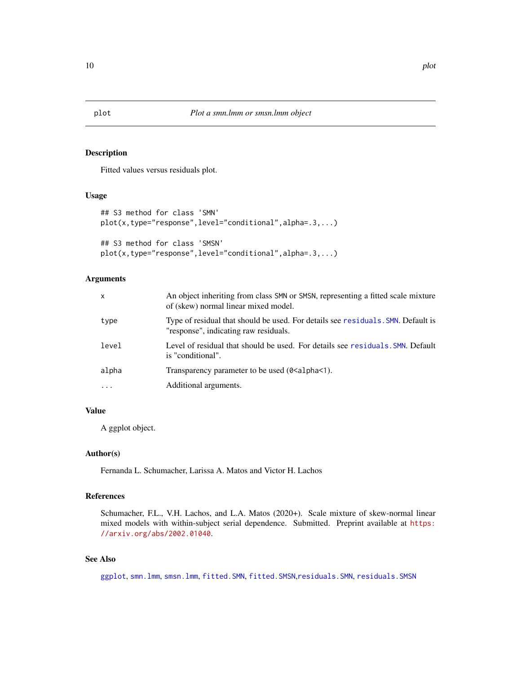<span id="page-9-1"></span>Fitted values versus residuals plot.

# Usage

```
## S3 method for class 'SMN'
plot(x,type="response",level="conditional",alpha=.3,...)
## S3 method for class 'SMSN'
plot(x,type="response",level="conditional",alpha=.3,...)
```
# Arguments

| $\mathsf{x}$ | An object inheriting from class SMN or SMSN, representing a fitted scale mixture<br>of (skew) normal linear mixed model.  |
|--------------|---------------------------------------------------------------------------------------------------------------------------|
| type         | Type of residual that should be used. For details see residuals. SMN. Default is<br>"response", indicating raw residuals. |
| level        | Level of residual that should be used. For details see residuals. SMN. Default<br>is "conditional".                       |
| alpha        | Transparency parameter to be used (0 <alpha<1).< td=""></alpha<1).<>                                                      |
| .            | Additional arguments.                                                                                                     |
|              |                                                                                                                           |

# Value

A ggplot object.

# Author(s)

Fernanda L. Schumacher, Larissa A. Matos and Victor H. Lachos

# References

Schumacher, F.L., V.H. Lachos, and L.A. Matos (2020+). Scale mixture of skew-normal linear mixed models with within-subject serial dependence. Submitted. Preprint available at [https:](https://arxiv.org/abs/2002.01040) [//arxiv.org/abs/2002.01040](https://arxiv.org/abs/2002.01040).

# See Also

[ggplot](#page-0-0), [smn.lmm](#page-19-1), [smsn.lmm](#page-22-1), [fitted.SMN](#page-4-1), [fitted.SMSN](#page-5-1),[residuals.SMN](#page-17-1), [residuals.SMSN](#page-17-1)

<span id="page-9-0"></span>10 plot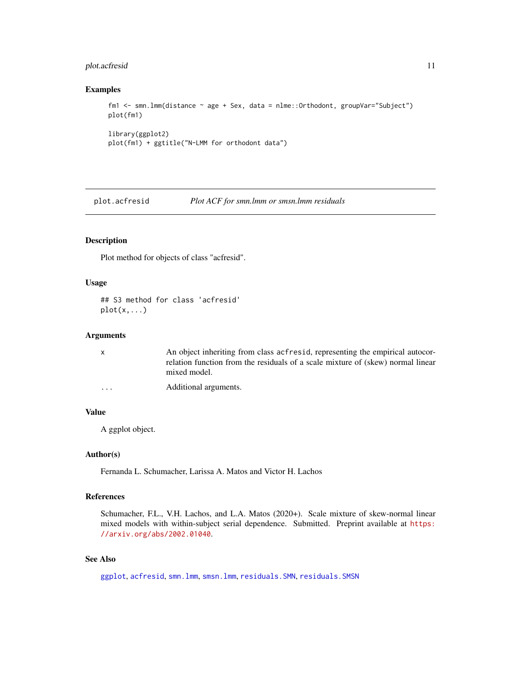# <span id="page-10-0"></span>plot.acfresid 11

# Examples

```
fm1 <- smn.lmm(distance ~ age + Sex, data = nlme::Orthodont, groupVar="Subject")
plot(fm1)
library(ggplot2)
plot(fm1) + ggtitle("N-LMM for orthodont data")
```
<span id="page-10-1"></span>plot.acfresid *Plot ACF for smn.lmm or smsn.lmm residuals*

# Description

Plot method for objects of class "acfresid".

### Usage

```
## S3 method for class 'acfresid'
plot(x,...)
```
### Arguments

| X.                      | An object inheriting from class acfress of representing the empirical autocor-                  |
|-------------------------|-------------------------------------------------------------------------------------------------|
|                         | relation function from the residuals of a scale mixture of (skew) normal linear<br>mixed model. |
| $\cdot$ $\cdot$ $\cdot$ | Additional arguments.                                                                           |

# Value

A ggplot object.

# Author(s)

Fernanda L. Schumacher, Larissa A. Matos and Victor H. Lachos

# References

Schumacher, F.L., V.H. Lachos, and L.A. Matos (2020+). Scale mixture of skew-normal linear mixed models with within-subject serial dependence. Submitted. Preprint available at [https:](https://arxiv.org/abs/2002.01040) [//arxiv.org/abs/2002.01040](https://arxiv.org/abs/2002.01040).

# See Also

[ggplot](#page-0-0), [acfresid](#page-1-1), [smn.lmm](#page-19-1), [smsn.lmm](#page-22-1), [residuals.SMN](#page-17-1), [residuals.SMSN](#page-17-1)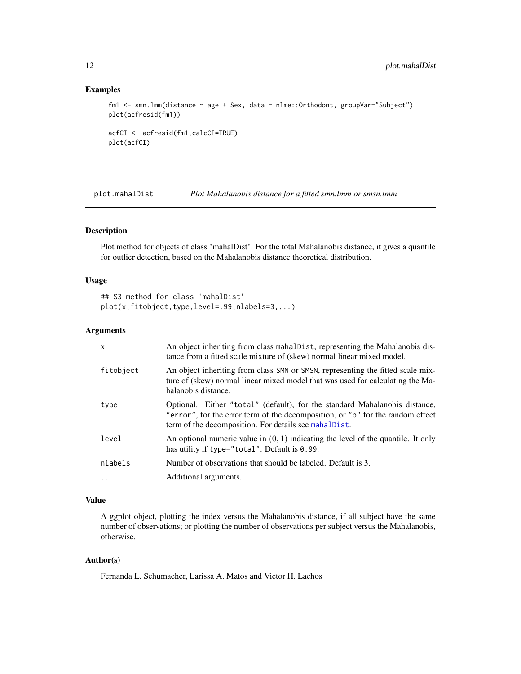# Examples

```
fm1 <- smn.lmm(distance ~ age + Sex, data = nlme::Orthodont, groupVar="Subject")
plot(acfresid(fm1))
acfCI <- acfresid(fm1,calcCI=TRUE)
```

```
plot(acfCI)
```
<span id="page-11-1"></span>plot.mahalDist *Plot Mahalanobis distance for a fitted smn.lmm or smsn.lmm*

# Description

Plot method for objects of class "mahalDist". For the total Mahalanobis distance, it gives a quantile for outlier detection, based on the Mahalanobis distance theoretical distribution.

#### Usage

```
## S3 method for class 'mahalDist'
plot(x,fitobject,type,level=.99,nlabels=3,...)
```
# Arguments

| $\mathsf{x}$ | An object inheriting from class mahalpist, representing the Mahalanobis dis-<br>tance from a fitted scale mixture of (skew) normal linear mixed model.                                                                |
|--------------|-----------------------------------------------------------------------------------------------------------------------------------------------------------------------------------------------------------------------|
| fitobject    | An object inheriting from class SMN or SMSN, representing the fitted scale mix-<br>ture of (skew) normal linear mixed model that was used for calculating the Ma-<br>halanobis distance.                              |
| type         | Optional. Either "total" (default), for the standard Mahalanobis distance,<br>"error", for the error term of the decomposition, or "b" for the random effect<br>term of the decomposition. For details see mahalpist. |
| level        | An optional numeric value in $(0, 1)$ indicating the level of the quantile. It only<br>has utility if type="total". Default is $0.99$ .                                                                               |
| nlabels      | Number of observations that should be labeled. Default is 3.                                                                                                                                                          |
| $\ddotsc$    | Additional arguments.                                                                                                                                                                                                 |

# Value

A ggplot object, plotting the index versus the Mahalanobis distance, if all subject have the same number of observations; or plotting the number of observations per subject versus the Mahalanobis, otherwise.

# Author(s)

<span id="page-11-0"></span>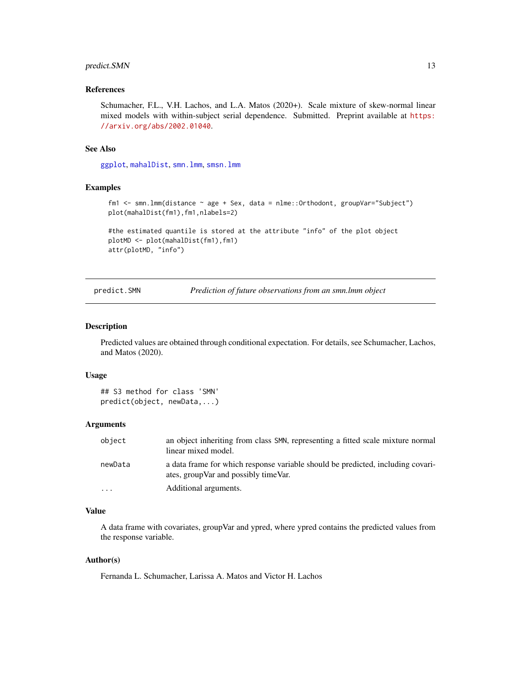# <span id="page-12-0"></span>predict.SMN 13

# References

Schumacher, F.L., V.H. Lachos, and L.A. Matos (2020+). Scale mixture of skew-normal linear mixed models with within-subject serial dependence. Submitted. Preprint available at [https:](https://arxiv.org/abs/2002.01040) [//arxiv.org/abs/2002.01040](https://arxiv.org/abs/2002.01040).

#### See Also

[ggplot](#page-0-0), [mahalDist](#page-8-1), [smn.lmm](#page-19-1), [smsn.lmm](#page-22-1)

# Examples

```
fm1 <- smn.lmm(distance ~ age + Sex, data = nlme::Orthodont, groupVar="Subject")
plot(mahalDist(fm1),fm1,nlabels=2)
```

```
#the estimated quantile is stored at the attribute "info" of the plot object
plotMD <- plot(mahalDist(fm1),fm1)
attr(plotMD, "info")
```
<span id="page-12-1"></span>predict.SMN *Prediction of future observations from an smn.lmm object*

#### Description

Predicted values are obtained through conditional expectation. For details, see Schumacher, Lachos, and Matos (2020).

#### Usage

```
## S3 method for class 'SMN'
predict(object, newData,...)
```
#### Arguments

| object                  | an object inheriting from class SMN, representing a fitted scale mixture normal<br>linear mixed model.                    |
|-------------------------|---------------------------------------------------------------------------------------------------------------------------|
| newData                 | a data frame for which response variable should be predicted, including covari-<br>ates, group Var and possibly time Var. |
| $\cdot$ $\cdot$ $\cdot$ | Additional arguments.                                                                                                     |

# Value

A data frame with covariates, groupVar and ypred, where ypred contains the predicted values from the response variable.

# Author(s)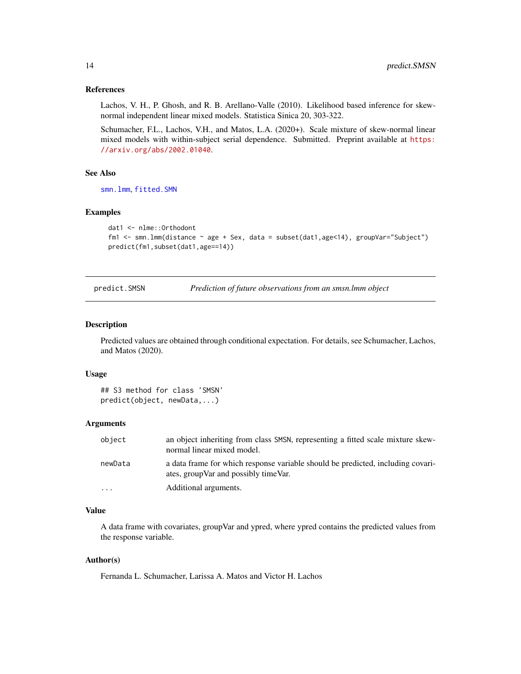# <span id="page-13-0"></span>References

Lachos, V. H., P. Ghosh, and R. B. Arellano-Valle (2010). Likelihood based inference for skewnormal independent linear mixed models. Statistica Sinica 20, 303-322.

Schumacher, F.L., Lachos, V.H., and Matos, L.A. (2020+). Scale mixture of skew-normal linear mixed models with within-subject serial dependence. Submitted. Preprint available at [https:](https://arxiv.org/abs/2002.01040) [//arxiv.org/abs/2002.01040](https://arxiv.org/abs/2002.01040).

# See Also

[smn.lmm](#page-19-1), [fitted.SMN](#page-4-1)

# Examples

```
dat1 <- nlme::Orthodont
fm1 <- smn.lmm(distance ~ age + Sex, data = subset(dat1,age<14), groupVar="Subject")
predict(fm1,subset(dat1,age==14))
```
<span id="page-13-1"></span>predict.SMSN *Prediction of future observations from an smsn.lmm object*

#### Description

Predicted values are obtained through conditional expectation. For details, see Schumacher, Lachos, and Matos (2020).

# Usage

```
## S3 method for class 'SMSN'
predict(object, newData,...)
```
#### Arguments

| object                  | an object inheriting from class SMSN, representing a fitted scale mixture skew-<br>normal linear mixed model.             |
|-------------------------|---------------------------------------------------------------------------------------------------------------------------|
| newData                 | a data frame for which response variable should be predicted, including covari-<br>ates, group Var and possibly time Var. |
| $\cdot$ $\cdot$ $\cdot$ | Additional arguments.                                                                                                     |

# Value

A data frame with covariates, groupVar and ypred, where ypred contains the predicted values from the response variable.

# Author(s)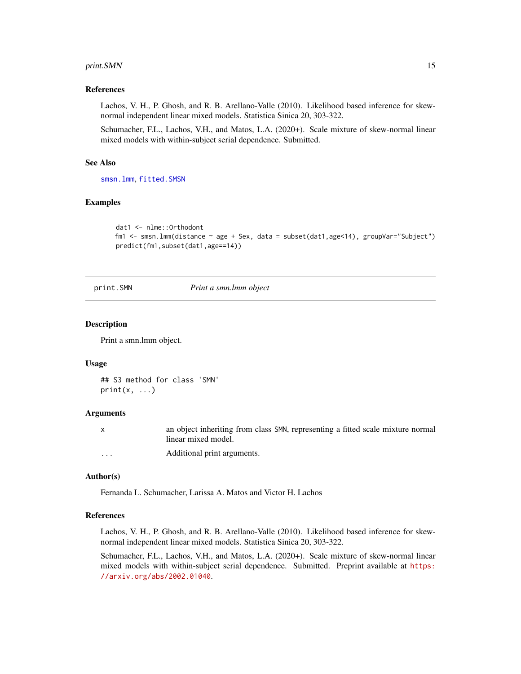#### <span id="page-14-0"></span>print.SMN 15

# References

Lachos, V. H., P. Ghosh, and R. B. Arellano-Valle (2010). Likelihood based inference for skewnormal independent linear mixed models. Statistica Sinica 20, 303-322.

Schumacher, F.L., Lachos, V.H., and Matos, L.A. (2020+). Scale mixture of skew-normal linear mixed models with within-subject serial dependence. Submitted.

#### See Also

[smsn.lmm](#page-22-1), [fitted.SMSN](#page-5-1)

#### Examples

```
dat1 <- nlme::Orthodont
fm1 <- smsn.lmm(distance ~ age + Sex, data = subset(dat1,age<14), groupVar="Subject")
predict(fm1,subset(dat1,age==14))
```
print.SMN *Print a smn.lmm object*

#### Description

Print a smn.lmm object.

#### Usage

## S3 method for class 'SMN'  $print(x, \ldots)$ 

#### Arguments

x an object inheriting from class SMN, representing a fitted scale mixture normal linear mixed model. ... Additional print arguments.

# Author(s)

Fernanda L. Schumacher, Larissa A. Matos and Victor H. Lachos

# References

Lachos, V. H., P. Ghosh, and R. B. Arellano-Valle (2010). Likelihood based inference for skewnormal independent linear mixed models. Statistica Sinica 20, 303-322.

Schumacher, F.L., Lachos, V.H., and Matos, L.A. (2020+). Scale mixture of skew-normal linear mixed models with within-subject serial dependence. Submitted. Preprint available at [https:](https://arxiv.org/abs/2002.01040) [//arxiv.org/abs/2002.01040](https://arxiv.org/abs/2002.01040).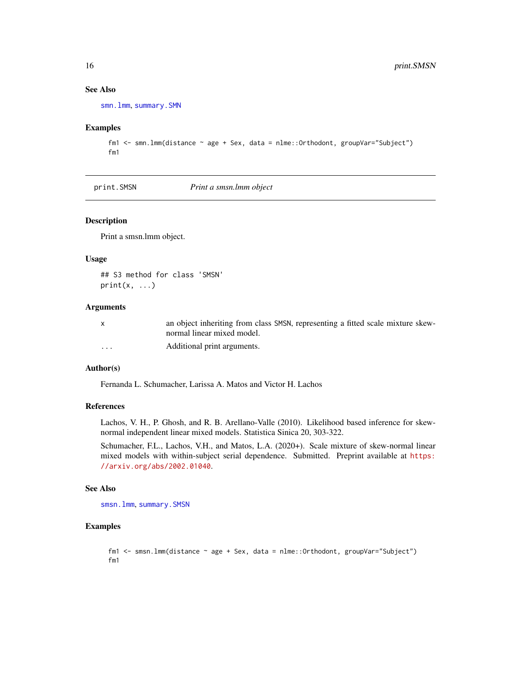# See Also

[smn.lmm](#page-19-1), [summary.SMN](#page-25-1)

# Examples

```
fm1 <- smn.lmm(distance ~ age + Sex, data = nlme::Orthodont, groupVar="Subject")
fm1
```
<span id="page-15-1"></span>print.SMSN *Print a smsn.lmm object*

# Description

Print a smsn.lmm object.

# Usage

## S3 method for class 'SMSN'  $print(x, \ldots)$ 

# Arguments

| X        | an object inheriting from class SMSN, representing a fitted scale mixture skew- |
|----------|---------------------------------------------------------------------------------|
|          | normal linear mixed model.                                                      |
| $\cdots$ | Additional print arguments.                                                     |

# Author(s)

Fernanda L. Schumacher, Larissa A. Matos and Victor H. Lachos

#### References

Lachos, V. H., P. Ghosh, and R. B. Arellano-Valle (2010). Likelihood based inference for skewnormal independent linear mixed models. Statistica Sinica 20, 303-322.

Schumacher, F.L., Lachos, V.H., and Matos, L.A. (2020+). Scale mixture of skew-normal linear mixed models with within-subject serial dependence. Submitted. Preprint available at [https:](https://arxiv.org/abs/2002.01040) [//arxiv.org/abs/2002.01040](https://arxiv.org/abs/2002.01040).

# See Also

[smsn.lmm](#page-22-1), [summary.SMSN](#page-26-1)

# Examples

```
fm1 <- smsn.lmm(distance ~ age + Sex, data = nlme::Orthodont, groupVar="Subject")
fm1
```
<span id="page-15-0"></span>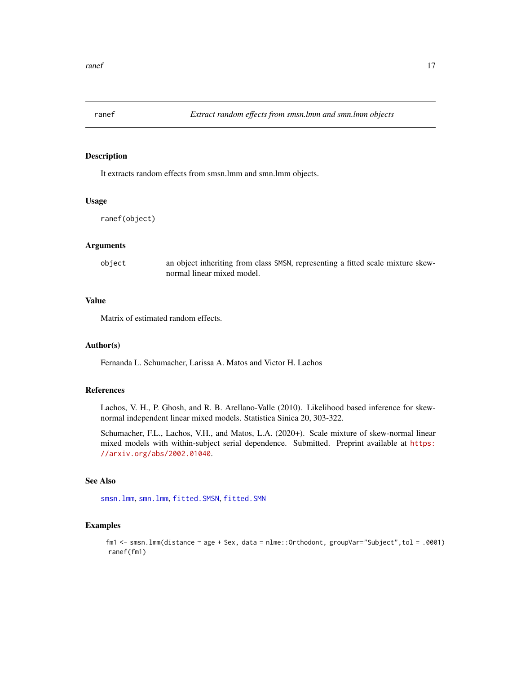<span id="page-16-0"></span>

It extracts random effects from smsn.lmm and smn.lmm objects.

# Usage

ranef(object)

# Arguments

object an object inheriting from class SMSN, representing a fitted scale mixture skewnormal linear mixed model.

# Value

Matrix of estimated random effects.

# Author(s)

Fernanda L. Schumacher, Larissa A. Matos and Victor H. Lachos

# References

Lachos, V. H., P. Ghosh, and R. B. Arellano-Valle (2010). Likelihood based inference for skewnormal independent linear mixed models. Statistica Sinica 20, 303-322.

Schumacher, F.L., Lachos, V.H., and Matos, L.A. (2020+). Scale mixture of skew-normal linear mixed models with within-subject serial dependence. Submitted. Preprint available at [https:](https://arxiv.org/abs/2002.01040) [//arxiv.org/abs/2002.01040](https://arxiv.org/abs/2002.01040).

# See Also

[smsn.lmm](#page-22-1), [smn.lmm](#page-19-1), [fitted.SMSN](#page-5-1), [fitted.SMN](#page-4-1)

# Examples

fm1 <- smsn.lmm(distance ~ age + Sex, data = nlme::Orthodont, groupVar="Subject",tol = .0001) ranef(fm1)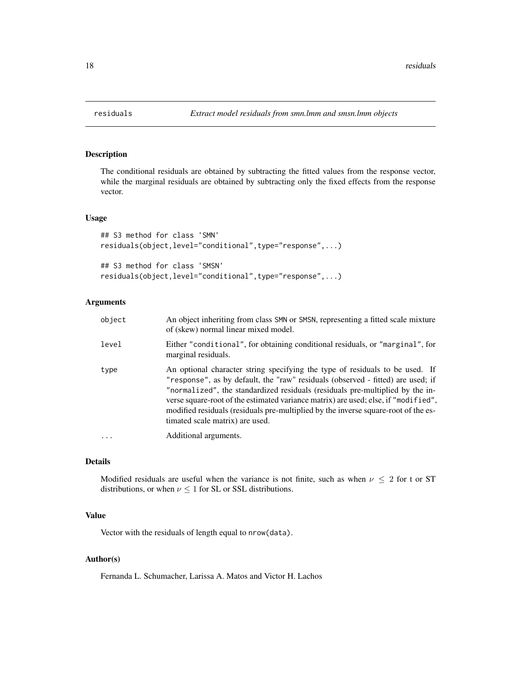The conditional residuals are obtained by subtracting the fitted values from the response vector, while the marginal residuals are obtained by subtracting only the fixed effects from the response vector.

#### Usage

```
## S3 method for class 'SMN'
residuals(object,level="conditional",type="response",...)
## S3 method for class 'SMSN'
residuals(object,level="conditional",type="response",...)
```
# Arguments

| object | An object inheriting from class SMN or SMSN, representing a fitted scale mixture<br>of (skew) normal linear mixed model.                                                                                                                                                                                                                                                                                                                                        |
|--------|-----------------------------------------------------------------------------------------------------------------------------------------------------------------------------------------------------------------------------------------------------------------------------------------------------------------------------------------------------------------------------------------------------------------------------------------------------------------|
| level  | Either "conditional", for obtaining conditional residuals, or "marginal", for<br>marginal residuals.                                                                                                                                                                                                                                                                                                                                                            |
| type   | An optional character string specifying the type of residuals to be used. If<br>"response", as by default, the "raw" residuals (observed - fitted) are used; if<br>"normalized", the standardized residuals (residuals pre-multiplied by the in-<br>verse square-root of the estimated variance matrix) are used; else, if "modified",<br>modified residuals (residuals pre-multiplied by the inverse square-root of the es-<br>timated scale matrix) are used. |
|        | Additional arguments.                                                                                                                                                                                                                                                                                                                                                                                                                                           |

#### Details

Modified residuals are useful when the variance is not finite, such as when  $\nu \leq 2$  for t or ST distributions, or when  $\nu \leq 1$  for SL or SSL distributions.

# Value

Vector with the residuals of length equal to nrow(data).

# Author(s)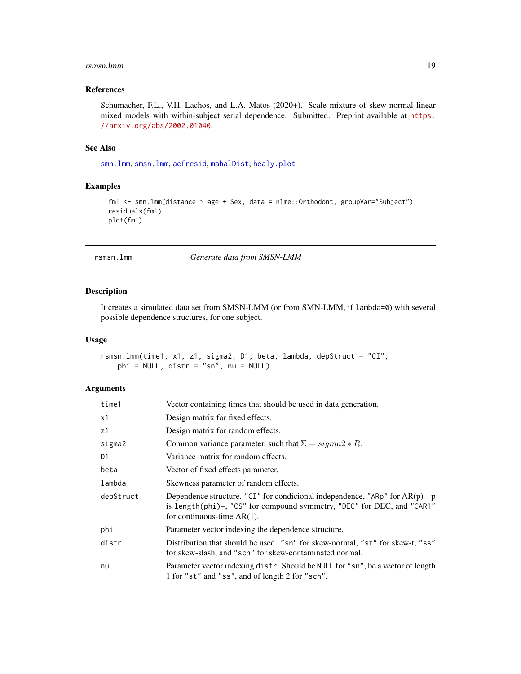#### <span id="page-18-0"></span>rsmsn.lmm 19

# References

Schumacher, F.L., V.H. Lachos, and L.A. Matos (2020+). Scale mixture of skew-normal linear mixed models with within-subject serial dependence. Submitted. Preprint available at [https:](https://arxiv.org/abs/2002.01040) [//arxiv.org/abs/2002.01040](https://arxiv.org/abs/2002.01040).

#### See Also

[smn.lmm](#page-19-1), [smsn.lmm](#page-22-1), [acfresid](#page-1-1), [mahalDist](#page-8-1), [healy.plot](#page-6-1)

# Examples

```
fm1 <- smn.lmm(distance ~ age + Sex, data = nlme::Orthodont, groupVar="Subject")
residuals(fm1)
plot(fm1)
```
rsmsn.lmm *Generate data from SMSN-LMM*

#### Description

It creates a simulated data set from SMSN-LMM (or from SMN-LMM, if lambda=0) with several possible dependence structures, for one subject.

#### Usage

```
rsmsn.lmm(time1, x1, z1, sigma2, D1, beta, lambda, depStruct = "CI",
   phi = NULL, distr = "sn", nu = NULL)
```
### Arguments

| time1     | Vector containing times that should be used in data generation.                                                                                                                           |
|-----------|-------------------------------------------------------------------------------------------------------------------------------------------------------------------------------------------|
| x1        | Design matrix for fixed effects.                                                                                                                                                          |
| z1        | Design matrix for random effects.                                                                                                                                                         |
| sigma2    | Common variance parameter, such that $\Sigma = \text{sigma}2 * R$ .                                                                                                                       |
| D1        | Variance matrix for random effects.                                                                                                                                                       |
| beta      | Vector of fixed effects parameter.                                                                                                                                                        |
| lambda    | Skewness parameter of random effects.                                                                                                                                                     |
| depStruct | Dependence structure. "CI" for condicional independence, "ARp" for $AR(p) - p$<br>is length(phi)-, "CS" for compound symmetry, "DEC" for DEC, and "CAR1"<br>for continuous-time $AR(1)$ . |
| phi       | Parameter vector indexing the dependence structure.                                                                                                                                       |
| distr     | Distribution that should be used. "sn" for skew-normal, "st" for skew-t, "ss"<br>for skew-slash, and "scn" for skew-contaminated normal.                                                  |
| nu        | Parameter vector indexing distr. Should be NULL for "sn", be a vector of length<br>1 for "st" and "ss", and of length 2 for "scn".                                                        |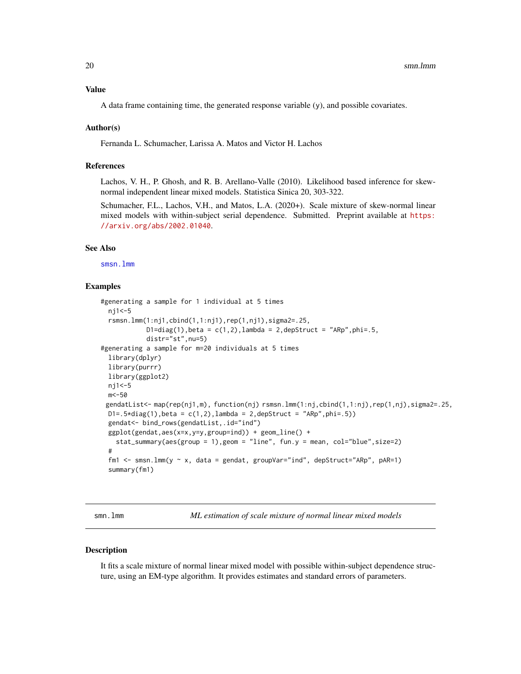# <span id="page-19-0"></span>Value

A data frame containing time, the generated response variable  $(y)$ , and possible covariates.

#### Author(s)

Fernanda L. Schumacher, Larissa A. Matos and Victor H. Lachos

#### References

Lachos, V. H., P. Ghosh, and R. B. Arellano-Valle (2010). Likelihood based inference for skewnormal independent linear mixed models. Statistica Sinica 20, 303-322.

Schumacher, F.L., Lachos, V.H., and Matos, L.A. (2020+). Scale mixture of skew-normal linear mixed models with within-subject serial dependence. Submitted. Preprint available at [https:](https://arxiv.org/abs/2002.01040) [//arxiv.org/abs/2002.01040](https://arxiv.org/abs/2002.01040).

# See Also

[smsn.lmm](#page-22-1)

# Examples

```
#generating a sample for 1 individual at 5 times
 nj1<-5
 rsmsn.lmm(1:nj1,cbind(1,1:nj1),rep(1,nj1),sigma2=.25,
            D1=diag(1), beta = c(1, 2), lambda = 2, depStruct = "ARp", phi=.5,
            distr="st",nu=5)
#generating a sample for m=20 individuals at 5 times
 library(dplyr)
 library(purrr)
 library(ggplot2)
 nj1<-5
 m<-50
 gendatList<- map(rep(nj1,m), function(nj) rsmsn.lmm(1:nj,cbind(1,1:nj),rep(1,nj),sigma2=.25,
 D1 = .5 * diag(1), beta = c(1,2), lambda = 2, depStruct = "ARp", phi=.5))
 gendat<- bind_rows(gendatList,.id="ind")
 ggplot(gendat,aes(x=x,y=y,group=ind)) + geom_line() +
   stat_summary(aes(group = 1),geom = "line", fun.y = mean, col="blue",size=2)
 #
 fm1 <- smsn.lmm(y ~ x, data = gendat, groupVar="ind", depStruct="ARp", pAR=1)
 summary(fm1)
```
<span id="page-19-1"></span>smn.lmm *ML estimation of scale mixture of normal linear mixed models*

#### Description

It fits a scale mixture of normal linear mixed model with possible within-subject dependence structure, using an EM-type algorithm. It provides estimates and standard errors of parameters.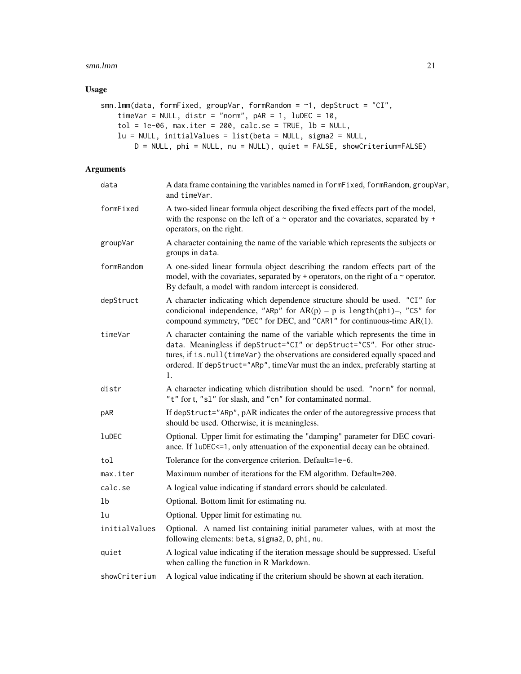#### smn.lmm 21

# Usage

```
smn.lmm(data, formFixed, groupVar, formRandom = \sim1, depStruct = "CI",
   timeVar = NULL, distr = "norm", pAR = 1, lubEC = 10,
   tol = 1e-06, max.iter = 200, calc.se = TRUE, lb = NULL,
   lu = NULL, initialValues = list(beta = NULL, sigma2 = NULL,
        D = NULL, phi = NULL, nu = NULL), quiet = FALSE, showCriterium=FALSE)
```
# Arguments

| data          | A data frame containing the variables named in formFixed, formRandom, groupVar,<br>and timeVar.                                                                                                                                                                                                                                   |
|---------------|-----------------------------------------------------------------------------------------------------------------------------------------------------------------------------------------------------------------------------------------------------------------------------------------------------------------------------------|
| formFixed     | A two-sided linear formula object describing the fixed effects part of the model,<br>with the response on the left of a $\sim$ operator and the covariates, separated by $+$<br>operators, on the right.                                                                                                                          |
| groupVar      | A character containing the name of the variable which represents the subjects or<br>groups in data.                                                                                                                                                                                                                               |
| formRandom    | A one-sided linear formula object describing the random effects part of the<br>model, with the covariates, separated by $+$ operators, on the right of a $\sim$ operator.<br>By default, a model with random intercept is considered.                                                                                             |
| depStruct     | A character indicating which dependence structure should be used. "CI" for<br>condicional independence, "ARp" for $AR(p) - p$ is length(phi)-, "CS" for<br>compound symmetry, "DEC" for DEC, and "CAR1" for continuous-time AR(1).                                                                                                |
| timeVar       | A character containing the name of the variable which represents the time in<br>data. Meaningless if depStruct="CI" or depStruct="CS". For other struc-<br>tures, if is. null(timeVar) the observations are considered equally spaced and<br>ordered. If depStruct="ARp", timeVar must the an index, preferably starting at<br>1. |
| distr         | A character indicating which distribution should be used. "norm" for normal,<br>"t" for t, "sl" for slash, and "cn" for contaminated normal.                                                                                                                                                                                      |
| pAR           | If depStruct="ARp", pAR indicates the order of the autoregressive process that<br>should be used. Otherwise, it is meaningless.                                                                                                                                                                                                   |
| luDEC         | Optional. Upper limit for estimating the "damping" parameter for DEC covari-<br>ance. If luDEC<=1, only attenuation of the exponential decay can be obtained.                                                                                                                                                                     |
| tol           | Tolerance for the convergence criterion. Default=1e-6.                                                                                                                                                                                                                                                                            |
| max.iter      | Maximum number of iterations for the EM algorithm. Default=200.                                                                                                                                                                                                                                                                   |
| calc.se       | A logical value indicating if standard errors should be calculated.                                                                                                                                                                                                                                                               |
| 1b            | Optional. Bottom limit for estimating nu.                                                                                                                                                                                                                                                                                         |
| lu            | Optional. Upper limit for estimating nu.                                                                                                                                                                                                                                                                                          |
| initialValues | Optional. A named list containing initial parameter values, with at most the<br>following elements: beta, sigma2, D, phi, nu.                                                                                                                                                                                                     |
| quiet         | A logical value indicating if the iteration message should be suppressed. Useful<br>when calling the function in R Markdown.                                                                                                                                                                                                      |
| showCriterium | A logical value indicating if the criterium should be shown at each iteration.                                                                                                                                                                                                                                                    |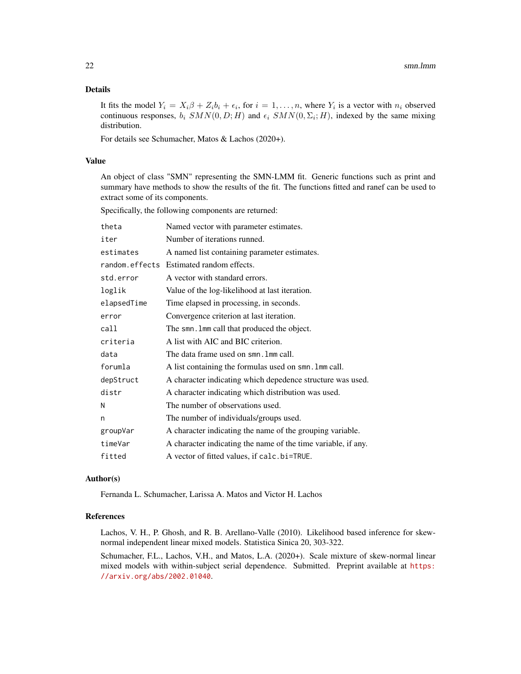# Details

It fits the model  $Y_i = X_i \beta + Z_i b_i + \epsilon_i$ , for  $i = 1, ..., n$ , where  $Y_i$  is a vector with  $n_i$  observed continuous responses,  $b_i$   $SMN(0, D; H)$  and  $\epsilon_i$   $SMN(0, \Sigma_i; H)$ , indexed by the same mixing distribution.

For details see Schumacher, Matos & Lachos (2020+).

# Value

An object of class "SMN" representing the SMN-LMM fit. Generic functions such as print and summary have methods to show the results of the fit. The functions fitted and ranef can be used to extract some of its components.

Specifically, the following components are returned:

| theta       | Named vector with parameter estimates.                        |
|-------------|---------------------------------------------------------------|
| iter        | Number of iterations runned.                                  |
| estimates   | A named list containing parameter estimates.                  |
|             | random.effects Estimated random effects.                      |
| std.error   | A vector with standard errors.                                |
| loglik      | Value of the log-likelihood at last iteration.                |
| elapsedTime | Time elapsed in processing, in seconds.                       |
| error       | Convergence criterion at last iteration.                      |
| call        | The smn. Imm call that produced the object.                   |
| criteria    | A list with AIC and BIC criterion.                            |
| data        | The data frame used on smn. Imm call.                         |
| forumla     | A list containing the formulas used on smn. Imm call.         |
| depStruct   | A character indicating which depedence structure was used.    |
| distr       | A character indicating which distribution was used.           |
| N           | The number of observations used.                              |
| n           | The number of individuals/groups used.                        |
| groupVar    | A character indicating the name of the grouping variable.     |
| timeVar     | A character indicating the name of the time variable, if any. |
| fitted      | A vector of fitted values, if calc.bi=TRUE.                   |

#### Author(s)

Fernanda L. Schumacher, Larissa A. Matos and Victor H. Lachos

#### References

Lachos, V. H., P. Ghosh, and R. B. Arellano-Valle (2010). Likelihood based inference for skewnormal independent linear mixed models. Statistica Sinica 20, 303-322.

Schumacher, F.L., Lachos, V.H., and Matos, L.A. (2020+). Scale mixture of skew-normal linear mixed models with within-subject serial dependence. Submitted. Preprint available at [https:](https://arxiv.org/abs/2002.01040) [//arxiv.org/abs/2002.01040](https://arxiv.org/abs/2002.01040).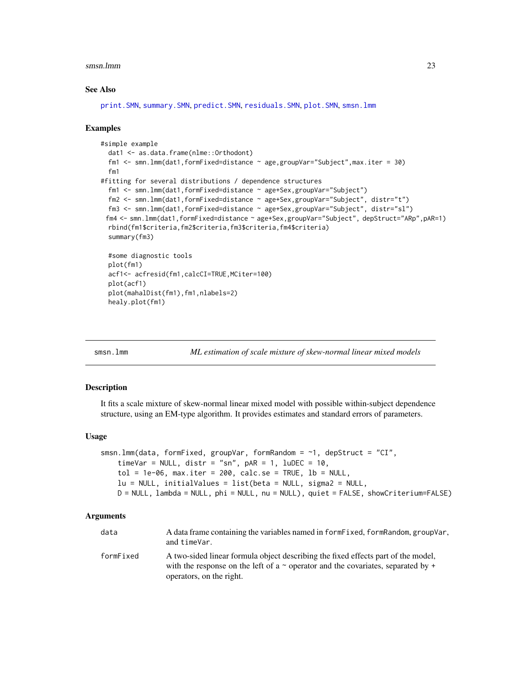#### <span id="page-22-0"></span>smsn.lmm 23

#### See Also

[print.SMN](#page-14-1), [summary.SMN](#page-25-1), [predict.SMN](#page-12-1), [residuals.SMN](#page-17-1), [plot.SMN](#page-9-1), [smsn.lmm](#page-22-1)

#### Examples

```
#simple example
 dat1 <- as.data.frame(nlme::Orthodont)
 fm1 <- smn.lmm(dat1,formFixed=distance ~ age,groupVar="Subject",max.iter = 30)
 fm1
#fitting for several distributions / dependence structures
 fm1 <- smn.lmm(dat1,formFixed=distance ~ age+Sex,groupVar="Subject")
 fm2 <- smn.lmm(dat1,formFixed=distance ~ age+Sex,groupVar="Subject", distr="t")
 fm3 <- smn.lmm(dat1,formFixed=distance ~ age+Sex,groupVar="Subject", distr="sl")
 fm4 <- smn.lmm(dat1,formFixed=distance ~ age+Sex,groupVar="Subject", depStruct="ARp",pAR=1)
 rbind(fm1$criteria,fm2$criteria,fm3$criteria,fm4$criteria)
 summary(fm3)
 #some diagnostic tools
 plot(fm1)
 acf1<- acfresid(fm1,calcCI=TRUE,MCiter=100)
 plot(acf1)
 plot(mahalDist(fm1),fm1,nlabels=2)
 healy.plot(fm1)
```
<span id="page-22-1"></span>

| smsn.lmm |  |
|----------|--|
|          |  |

ML estimation of scale mixture of skew-normal linear mixed models

# **Description**

It fits a scale mixture of skew-normal linear mixed model with possible within-subject dependence structure, using an EM-type algorithm. It provides estimates and standard errors of parameters.

# Usage

```
smsn.lmm(data, formFixed, groupVar, formRandom = \sim1, depStruct = "CI",
    timeVar = NULL, distr = "sn", pAR = 1, luDEC = 10,
   tol = 1e-06, max.iter = 200, calc.se = TRUE, lb = NULL,
   lu = NULL, initialValues = list(beta = NULL, sigma2 = NULL,
   D = NULL, lambda = NULL, phi = NULL, nu = NULL), quiet = FALSE, showCriterium=FALSE)
```
#### Arguments

| data      | A data frame containing the variables named in form Fixed, form Random, group Var,<br>and timeVar.                                                                                                       |
|-----------|----------------------------------------------------------------------------------------------------------------------------------------------------------------------------------------------------------|
| formFixed | A two-sided linear formula object describing the fixed effects part of the model,<br>with the response on the left of a $\sim$ operator and the covariates, separated by $+$<br>operators, on the right. |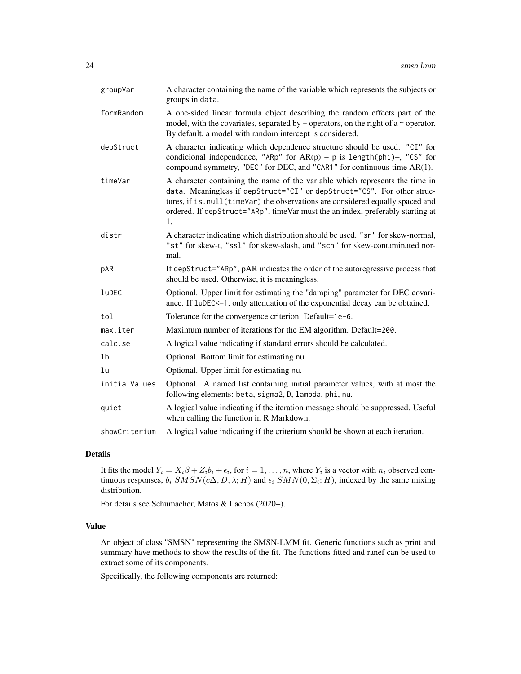| groupVar       | A character containing the name of the variable which represents the subjects or<br>groups in data.                                                                                                                                                                                                                               |  |
|----------------|-----------------------------------------------------------------------------------------------------------------------------------------------------------------------------------------------------------------------------------------------------------------------------------------------------------------------------------|--|
| formRandom     | A one-sided linear formula object describing the random effects part of the<br>model, with the covariates, separated by $+$ operators, on the right of a $\sim$ operator.<br>By default, a model with random intercept is considered.                                                                                             |  |
| depStruct      | A character indicating which dependence structure should be used. "CI" for<br>condicional independence, "ARp" for $AR(p) - p$ is length(phi)-, "CS" for<br>compound symmetry, "DEC" for DEC, and "CAR1" for continuous-time AR(1).                                                                                                |  |
| timeVar        | A character containing the name of the variable which represents the time in<br>data. Meaningless if depStruct="CI" or depStruct="CS". For other struc-<br>tures, if is. null(timeVar) the observations are considered equally spaced and<br>ordered. If depStruct="ARp", timeVar must the an index, preferably starting at<br>1. |  |
| distr          | A character indicating which distribution should be used. "sn" for skew-normal,<br>"st" for skew-t, "ssl" for skew-slash, and "scn" for skew-contaminated nor-<br>mal.                                                                                                                                                            |  |
| pAR            | If depStruct="ARp", pAR indicates the order of the autoregressive process that<br>should be used. Otherwise, it is meaningless.                                                                                                                                                                                                   |  |
| luDEC          | Optional. Upper limit for estimating the "damping" parameter for DEC covari-<br>ance. If luDEC<=1, only attenuation of the exponential decay can be obtained.                                                                                                                                                                     |  |
| tol            | Tolerance for the convergence criterion. Default=1e-6.                                                                                                                                                                                                                                                                            |  |
| max.iter       | Maximum number of iterations for the EM algorithm. Default=200.                                                                                                                                                                                                                                                                   |  |
| calc.se        | A logical value indicating if standard errors should be calculated.                                                                                                                                                                                                                                                               |  |
| 1 <sub>b</sub> | Optional. Bottom limit for estimating nu.                                                                                                                                                                                                                                                                                         |  |
| lu             | Optional. Upper limit for estimating nu.                                                                                                                                                                                                                                                                                          |  |
| initialValues  | Optional. A named list containing initial parameter values, with at most the<br>following elements: beta, sigma2, D, lambda, phi, nu.                                                                                                                                                                                             |  |
| quiet          | A logical value indicating if the iteration message should be suppressed. Useful<br>when calling the function in R Markdown.                                                                                                                                                                                                      |  |
| showCriterium  | A logical value indicating if the criterium should be shown at each iteration.                                                                                                                                                                                                                                                    |  |

# Details

It fits the model  $Y_i = X_i \beta + Z_i b_i + \epsilon_i$ , for  $i = 1, ..., n$ , where  $Y_i$  is a vector with  $n_i$  observed continuous responses,  $b_i$   $SMSN(c\Delta, D, \lambda; H)$  and  $\epsilon_i$   $SMN(0, \Sigma_i; H)$ , indexed by the same mixing distribution.

For details see Schumacher, Matos & Lachos (2020+).

# Value

An object of class "SMSN" representing the SMSN-LMM fit. Generic functions such as print and summary have methods to show the results of the fit. The functions fitted and ranef can be used to extract some of its components.

Specifically, the following components are returned: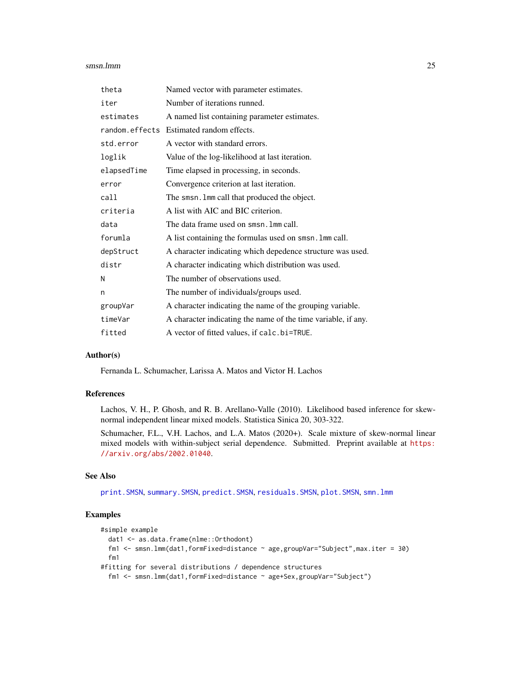#### <span id="page-24-0"></span>smsn.lmm 25

| theta       | Named vector with parameter estimates.                        |
|-------------|---------------------------------------------------------------|
| iter        | Number of iterations runned.                                  |
| estimates   | A named list containing parameter estimates.                  |
|             | random.effects Estimated random effects.                      |
| std.error   | A vector with standard errors.                                |
| loglik      | Value of the log-likelihood at last iteration.                |
| elapsedTime | Time elapsed in processing, in seconds.                       |
| error       | Convergence criterion at last iteration.                      |
| call        | The smsn. Imm call that produced the object.                  |
| criteria    | A list with AIC and BIC criterion.                            |
| data        | The data frame used on smsn. Imm call.                        |
| forumla     | A list containing the formulas used on smsn. Imm call.        |
| depStruct   | A character indicating which depedence structure was used.    |
| distr       | A character indicating which distribution was used.           |
| N           | The number of observations used.                              |
| n           | The number of individuals/groups used.                        |
| groupVar    | A character indicating the name of the grouping variable.     |
| timeVar     | A character indicating the name of the time variable, if any. |
| fitted      | A vector of fitted values, if calc.bi=TRUE.                   |

# Author(s)

Fernanda L. Schumacher, Larissa A. Matos and Victor H. Lachos

# References

Lachos, V. H., P. Ghosh, and R. B. Arellano-Valle (2010). Likelihood based inference for skewnormal independent linear mixed models. Statistica Sinica 20, 303-322.

Schumacher, F.L., V.H. Lachos, and L.A. Matos (2020+). Scale mixture of skew-normal linear mixed models with within-subject serial dependence. Submitted. Preprint available at [https:](https://arxiv.org/abs/2002.01040) [//arxiv.org/abs/2002.01040](https://arxiv.org/abs/2002.01040).

# See Also

[print.SMSN](#page-15-1), [summary.SMSN](#page-26-1), [predict.SMSN](#page-13-1), [residuals.SMSN](#page-17-1), [plot.SMSN](#page-9-1), [smn.lmm](#page-19-1)

# Examples

```
#simple example
  dat1 <- as.data.frame(nlme::Orthodont)
  fm1 <- smsn.lmm(dat1,formFixed=distance ~ age,groupVar="Subject",max.iter = 30)
  fm1
#fitting for several distributions / dependence structures
  fm1 <- smsn.lmm(dat1,formFixed=distance ~ age+Sex,groupVar="Subject")
```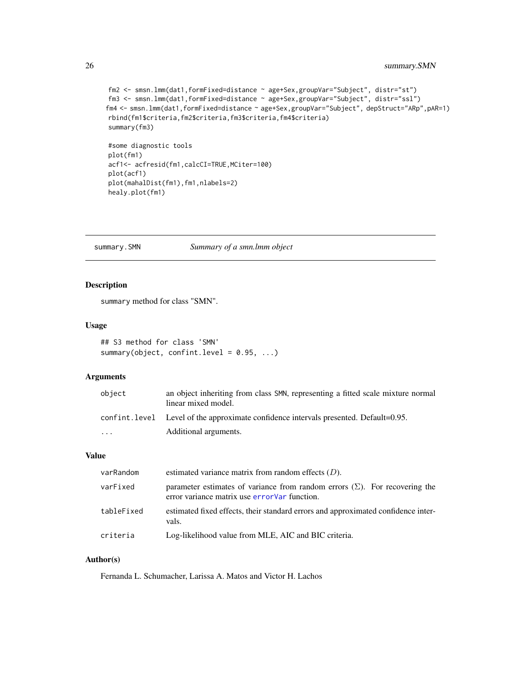```
fm2 <- smsn.lmm(dat1,formFixed=distance ~ age+Sex,groupVar="Subject", distr="st")
fm3 <- smsn.lmm(dat1,formFixed=distance ~ age+Sex,groupVar="Subject", distr="ssl")
fm4 <- smsn.lmm(dat1,formFixed=distance ~ age+Sex,groupVar="Subject", depStruct="ARp",pAR=1)
rbind(fm1$criteria,fm2$criteria,fm3$criteria,fm4$criteria)
summary(fm3)
#some diagnostic tools
plot(fm1)
```

```
acf1<- acfresid(fm1,calcCI=TRUE,MCiter=100)
plot(acf1)
plot(mahalDist(fm1),fm1,nlabels=2)
healy.plot(fm1)
```
<span id="page-25-1"></span>summary.SMN *Summary of a smn.lmm object*

# Description

summary method for class "SMN".

# Usage

```
## S3 method for class 'SMN'
summary(object, confint.level = 0.95, ...)
```
# Arguments

| object | an object inheriting from class SMN, representing a fitted scale mixture normal<br>linear mixed model. |
|--------|--------------------------------------------------------------------------------------------------------|
|        | confinit. Level Level of the approximate confidence intervals presented. Default= $0.95$ .             |
| .      | Additional arguments.                                                                                  |

#### Value

| varRandom  | estimated variance matrix from random effects $(D)$ .                                                                               |
|------------|-------------------------------------------------------------------------------------------------------------------------------------|
| varFixed   | parameter estimates of variance from random errors $(\Sigma)$ . For recovering the<br>error variance matrix use error Var function. |
| tableFixed | estimated fixed effects, their standard errors and approximated confidence inter-<br>vals.                                          |
| criteria   | Log-likelihood value from MLE, AIC and BIC criteria.                                                                                |

# Author(s)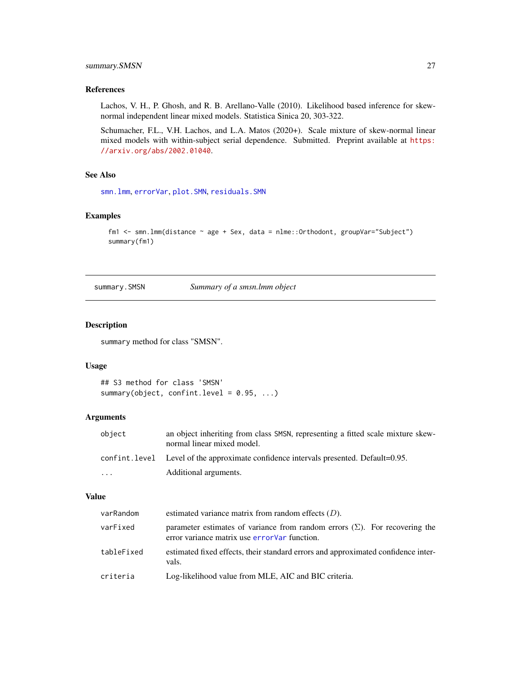# <span id="page-26-0"></span>summary.SMSN 27

# References

Lachos, V. H., P. Ghosh, and R. B. Arellano-Valle (2010). Likelihood based inference for skewnormal independent linear mixed models. Statistica Sinica 20, 303-322.

Schumacher, F.L., V.H. Lachos, and L.A. Matos (2020+). Scale mixture of skew-normal linear mixed models with within-subject serial dependence. Submitted. Preprint available at [https:](https://arxiv.org/abs/2002.01040) [//arxiv.org/abs/2002.01040](https://arxiv.org/abs/2002.01040).

#### See Also

[smn.lmm](#page-19-1), [errorVar](#page-3-1), [plot.SMN](#page-9-1), [residuals.SMN](#page-17-1)

# Examples

```
fm1 <- smn.lmm(distance ~ age + Sex, data = nlme::Orthodont, groupVar="Subject")
summary(fm1)
```
<span id="page-26-1"></span>summary.SMSN *Summary of a smsn.lmm object*

#### Description

summary method for class "SMSN".

# Usage

```
## S3 method for class 'SMSN'
summary(object, confint.level = 0.95, ...)
```
#### Arguments

| object  | an object inheriting from class SMSN, representing a fitted scale mixture skew-<br>normal linear mixed model. |
|---------|---------------------------------------------------------------------------------------------------------------|
|         | confinit level Level of the approximate confidence intervals presented. Default=0.95.                         |
| $\cdot$ | Additional arguments.                                                                                         |

#### Value

| varRandom  | estimated variance matrix from random effects $(D)$ .                                                                               |
|------------|-------------------------------------------------------------------------------------------------------------------------------------|
| varFixed   | parameter estimates of variance from random errors $(\Sigma)$ . For recovering the<br>error variance matrix use error Var function. |
| tableFixed | estimated fixed effects, their standard errors and approximated confidence inter-<br>vals.                                          |
| criteria   | Log-likelihood value from MLE, AIC and BIC criteria.                                                                                |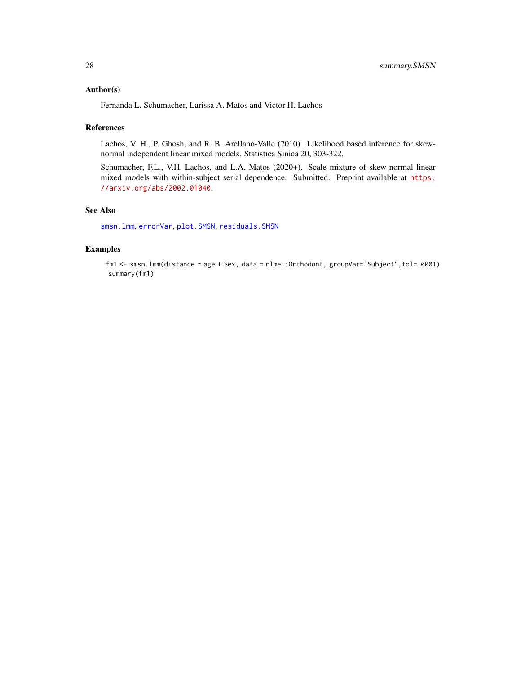# <span id="page-27-0"></span>Author(s)

Fernanda L. Schumacher, Larissa A. Matos and Victor H. Lachos

#### References

Lachos, V. H., P. Ghosh, and R. B. Arellano-Valle (2010). Likelihood based inference for skewnormal independent linear mixed models. Statistica Sinica 20, 303-322.

Schumacher, F.L., V.H. Lachos, and L.A. Matos (2020+). Scale mixture of skew-normal linear mixed models with within-subject serial dependence. Submitted. Preprint available at [https:](https://arxiv.org/abs/2002.01040) [//arxiv.org/abs/2002.01040](https://arxiv.org/abs/2002.01040).

# See Also

[smsn.lmm](#page-22-1), [errorVar](#page-3-1), [plot.SMSN](#page-9-1), [residuals.SMSN](#page-17-1)

# Examples

fm1 <- smsn.lmm(distance ~ age + Sex, data = nlme::Orthodont, groupVar="Subject",tol=.0001) summary(fm1)